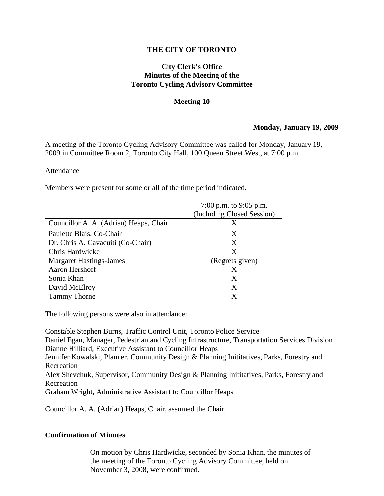## **THE CITY OF TORONTO**

## **City Clerk's Office Minutes of the Meeting of the Toronto Cycling Advisory Committee**

#### **Meeting 10**

### **Monday, January 19, 2009**

A meeting of the Toronto Cycling Advisory Committee was called for Monday, January 19, 2009 in Committee Room 2, Toronto City Hall, 100 Queen Street West, at 7:00 p.m.

#### Attendance

Members were present for some or all of the time period indicated.

|                                        | 7:00 p.m. to $9:05$ p.m.   |
|----------------------------------------|----------------------------|
|                                        | (Including Closed Session) |
| Councillor A. A. (Adrian) Heaps, Chair | X                          |
| Paulette Blais, Co-Chair               | X                          |
| Dr. Chris A. Cavacuiti (Co-Chair)      | Χ                          |
| Chris Hardwicke                        | X                          |
| <b>Margaret Hastings-James</b>         | (Regrets given)            |
| Aaron Hershoff                         | X                          |
| Sonia Khan                             | Χ                          |
| David McElroy                          | X                          |
| <b>Tammy Thorne</b>                    |                            |

The following persons were also in attendance:

Constable Stephen Burns, Traffic Control Unit, Toronto Police Service Daniel Egan, Manager, Pedestrian and Cycling Infrastructure, Transportation Services Division Dianne Hilliard, Executive Assistant to Councillor Heaps Jennifer Kowalski, Planner, Community Design & Planning Inititatives, Parks, Forestry and Recreation Alex Shevchuk, Supervisor, Community Design & Planning Inititatives, Parks, Forestry and Recreation Graham Wright, Administrative Assistant to Councillor Heaps

Councillor A. A. (Adrian) Heaps, Chair, assumed the Chair.

### **Confirmation of Minutes**

On motion by Chris Hardwicke, seconded by Sonia Khan, the minutes of the meeting of the Toronto Cycling Advisory Committee, held on November 3, 2008, were confirmed.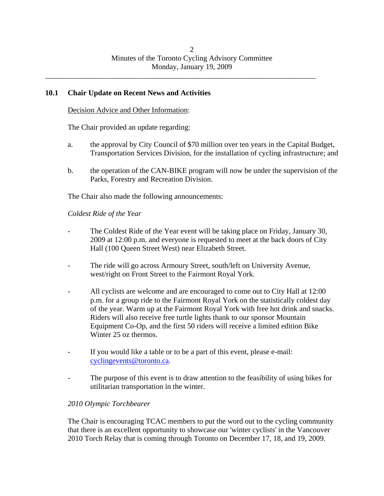# **10.1 Chair Update on Recent News and Activities**

Decision Advice and Other Information:

The Chair provided an update regarding:

- a. the approval by City Council of \$70 million over ten years in the Capital Budget, Transportation Services Division, for the installation of cycling infrastructure; and
- b. the operation of the CAN-BIKE program will now be under the supervision of the Parks, Forestry and Recreation Division.

The Chair also made the following announcements:

*Coldest Ride of the Year* 

- The Coldest Ride of the Year event will be taking place on Friday, January 30, 2009 at 12:00 p.m. and everyone is requested to meet at the back doors of City Hall (100 Queen Street West) near Elizabeth Street.
- The ride will go across Armoury Street, south/left on University Avenue, west/right on Front Street to the Fairmont Royal York.
- All cyclists are welcome and are encouraged to come out to City Hall at 12:00 p.m. for a group ride to the Fairmont Royal York on the statistically coldest day of the year. Warm up at the Fairmont Royal York with free hot drink and snacks. Riders will also receive free turtle lights thank to our sponsor Mountain Equipment Co-Op, and the first 50 riders will receive a limited edition Bike Winter 25 oz thermos.
- If you would like a table or to be a part of this event, please e-mail: cyclingevents@toronto.ca.
- The purpose of this event is to draw attention to the feasibility of using bikes for utilitarian transportation in the winter.

# *2010 Olympic Torchbearer*

The Chair is encouraging TCAC members to put the word out to the cycling community that there is an excellent opportunity to showcase our 'winter cyclists' in the Vancouver 2010 Torch Relay that is coming through Toronto on December 17, 18, and 19, 2009.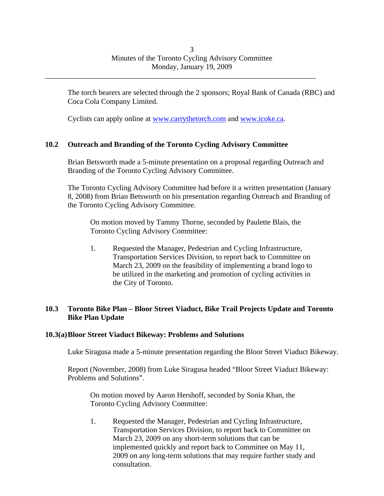The torch bearers are selected through the 2 sponsors; Royal Bank of Canada (RBC) and Coca Cola Company Limited.

Cyclists can apply online at www.carrythetorch.com and www.icoke.ca.

\_\_\_\_\_\_\_\_\_\_\_\_\_\_\_\_\_\_\_\_\_\_\_\_\_\_\_\_\_\_\_\_\_\_\_\_\_\_\_\_\_\_\_\_\_\_\_\_\_\_\_\_\_\_\_\_\_\_\_\_\_\_\_\_\_\_\_\_\_\_\_\_

## **10.2 Outreach and Branding of the Toronto Cycling Advisory Committee**

Brian Betsworth made a 5-minute presentation on a proposal regarding Outreach and Branding of the Toronto Cycling Advisory Committee.

The Toronto Cycling Advisory Committee had before it a written presentation (January 8, 2008) from Brian Betsworth on his presentation regarding Outreach and Branding of the Toronto Cycling Advisory Committee.

On motion moved by Tammy Thorne, seconded by Paulette Blais, the Toronto Cycling Advisory Committee:

1. Requested the Manager, Pedestrian and Cycling Infrastructure, Transportation Services Division, to report back to Committee on March 23, 2009 on the feasibility of implementing a brand logo to be utilized in the marketing and promotion of cycling activities in the City of Toronto.

## **10.3 Toronto Bike Plan – Bloor Street Viaduct, Bike Trail Projects Update and Toronto Bike Plan Update**

### **10.3(a) Bloor Street Viaduct Bikeway: Problems and Solutions**

Luke Siragusa made a 5-minute presentation regarding the Bloor Street Viaduct Bikeway.

Report (November, 2008) from Luke Siragusa headed "Bloor Street Viaduct Bikeway: Problems and Solutions".

On motion moved by Aaron Hershoff, seconded by Sonia Khan, the Toronto Cycling Advisory Committee:

1. Requested the Manager, Pedestrian and Cycling Infrastructure, Transportation Services Division, to report back to Committee on March 23, 2009 on any short-term solutions that can be implemented quickly and report back to Committee on May 11, 2009 on any long-term solutions that may require further study and consultation.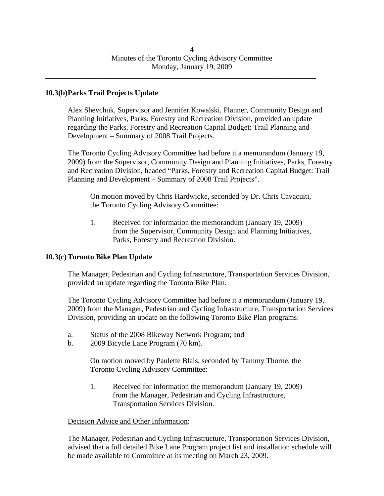### **10.3(b) Parks Trail Projects Update**

Alex Shevchuk, Supervisor and Jennifer Kowalski, Planner, Community Design and Planning Initiatives, Parks, Forestry and Recreation Division, provided an update regarding the Parks, Forestry and Recreation Capital Budget: Trail Planning and Development – Summary of 2008 Trail Projects.

The Toronto Cycling Advisory Committee had before it a memorandum (January 19, 2009) from the Supervisor, Community Design and Planning Initiatives, Parks, Forestry and Recreation Division, headed "Parks, Forestry and Recreation Capital Budget: Trail Planning and Development – Summary of 2008 Trail Projects".

On motion moved by Chris Hardwicke, seconded by Dr. Chris Cavacuiti, the Toronto Cycling Advisory Committee:

1. Received for information the memorandum (January 19, 2009) from the Supervisor, Community Design and Planning Initiatives, Parks, Forestry and Recreation Division.

### **10.3(c) Toronto Bike Plan Update**

The Manager, Pedestrian and Cycling Infrastructure, Transportation Services Division, provided an update regarding the Toronto Bike Plan.

The Toronto Cycling Advisory Committee had before it a memorandum (January 19, 2009) from the Manager, Pedestrian and Cycling Infrastructure, Transportation Services Division, providing an update on the following Toronto Bike Plan programs:

- a. Status of the 2008 Bikeway Network Program; and
- b. 2009 Bicycle Lane Program (70 km).

On motion moved by Paulette Blais, seconded by Tammy Thorne, the Toronto Cycling Advisory Committee:

1. Received for information the memorandum (January 19, 2009) from the Manager, Pedestrian and Cycling Infrastructure, Transportation Services Division.

### Decision Advice and Other Information:

The Manager, Pedestrian and Cycling Infrastructure, Transportation Services Division, advised that a full detailed Bike Lane Program project list and installation schedule will be made available to Committee at its meeting on March 23, 2009.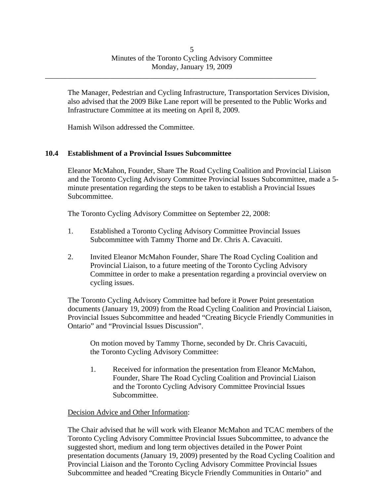The Manager, Pedestrian and Cycling Infrastructure, Transportation Services Division, also advised that the 2009 Bike Lane report will be presented to the Public Works and Infrastructure Committee at its meeting on April 8, 2009.

Hamish Wilson addressed the Committee.

# **10.4 Establishment of a Provincial Issues Subcommittee**

Eleanor McMahon, Founder, Share The Road Cycling Coalition and Provincial Liaison and the Toronto Cycling Advisory Committee Provincial Issues Subcommittee, made a 5 minute presentation regarding the steps to be taken to establish a Provincial Issues Subcommittee.

The Toronto Cycling Advisory Committee on September 22, 2008:

- 1. Established a Toronto Cycling Advisory Committee Provincial Issues Subcommittee with Tammy Thorne and Dr. Chris A. Cavacuiti.
- 2. Invited Eleanor McMahon Founder, Share The Road Cycling Coalition and Provincial Liaison, to a future meeting of the Toronto Cycling Advisory Committee in order to make a presentation regarding a provincial overview on cycling issues.

The Toronto Cycling Advisory Committee had before it Power Point presentation documents (January 19, 2009) from the Road Cycling Coalition and Provincial Liaison, Provincial Issues Subcommittee and headed "Creating Bicycle Friendly Communities in Ontario" and "Provincial Issues Discussion".

On motion moved by Tammy Thorne, seconded by Dr. Chris Cavacuiti, the Toronto Cycling Advisory Committee:

1. Received for information the presentation from Eleanor McMahon, Founder, Share The Road Cycling Coalition and Provincial Liaison and the Toronto Cycling Advisory Committee Provincial Issues Subcommittee.

### Decision Advice and Other Information:

The Chair advised that he will work with Eleanor McMahon and TCAC members of the Toronto Cycling Advisory Committee Provincial Issues Subcommittee, to advance the suggested short, medium and long term objectives detailed in the Power Point presentation documents (January 19, 2009) presented by the Road Cycling Coalition and Provincial Liaison and the Toronto Cycling Advisory Committee Provincial Issues Subcommittee and headed "Creating Bicycle Friendly Communities in Ontario" and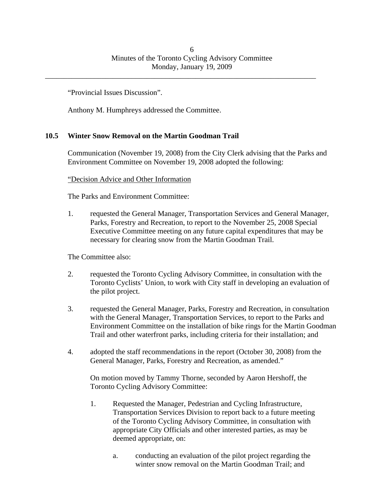"Provincial Issues Discussion".

Anthony M. Humphreys addressed the Committee.

## **10.5 Winter Snow Removal on the Martin Goodman Trail**

Communication (November 19, 2008) from the City Clerk advising that the Parks and Environment Committee on November 19, 2008 adopted the following:

"Decision Advice and Other Information

The Parks and Environment Committee:

1. requested the General Manager, Transportation Services and General Manager, Parks, Forestry and Recreation, to report to the November 25, 2008 Special Executive Committee meeting on any future capital expenditures that may be necessary for clearing snow from the Martin Goodman Trail.

The Committee also:

- 2. requested the Toronto Cycling Advisory Committee, in consultation with the Toronto Cyclists' Union, to work with City staff in developing an evaluation of the pilot project.
- 3. requested the General Manager, Parks, Forestry and Recreation, in consultation with the General Manager, Transportation Services, to report to the Parks and Environment Committee on the installation of bike rings for the Martin Goodman Trail and other waterfront parks, including criteria for their installation; and
- 4. adopted the staff recommendations in the report (October 30, 2008) from the General Manager, Parks, Forestry and Recreation, as amended."

On motion moved by Tammy Thorne, seconded by Aaron Hershoff, the Toronto Cycling Advisory Committee:

- 1. Requested the Manager, Pedestrian and Cycling Infrastructure, Transportation Services Division to report back to a future meeting of the Toronto Cycling Advisory Committee, in consultation with appropriate City Officials and other interested parties, as may be deemed appropriate, on:
	- a. conducting an evaluation of the pilot project regarding the winter snow removal on the Martin Goodman Trail; and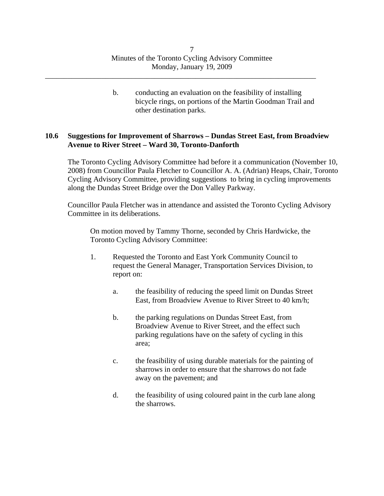b. conducting an evaluation on the feasibility of installing bicycle rings, on portions of the Martin Goodman Trail and other destination parks.

### **10.6 Suggestions for Improvement of Sharrows – Dundas Street East, from Broadview Avenue to River Street – Ward 30, Toronto-Danforth**

The Toronto Cycling Advisory Committee had before it a communication (November 10, 2008) from Councillor Paula Fletcher to Councillor A. A. (Adrian) Heaps, Chair, Toronto Cycling Advisory Committee, providing suggestions to bring in cycling improvements along the Dundas Street Bridge over the Don Valley Parkway.

Councillor Paula Fletcher was in attendance and assisted the Toronto Cycling Advisory Committee in its deliberations.

On motion moved by Tammy Thorne, seconded by Chris Hardwicke, the Toronto Cycling Advisory Committee:

- 1. Requested the Toronto and East York Community Council to request the General Manager, Transportation Services Division, to report on:
	- a. the feasibility of reducing the speed limit on Dundas Street East, from Broadview Avenue to River Street to 40 km/h;
	- b. the parking regulations on Dundas Street East, from Broadview Avenue to River Street, and the effect such parking regulations have on the safety of cycling in this area;
	- c. the feasibility of using durable materials for the painting of sharrows in order to ensure that the sharrows do not fade away on the pavement; and
	- d. the feasibility of using coloured paint in the curb lane along the sharrows.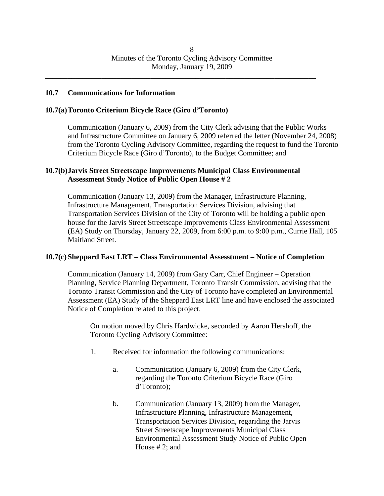### **10.7 Communications for Information**

#### **10.7(a) Toronto Criterium Bicycle Race (Giro d'Toronto)**

Communication (January 6, 2009) from the City Clerk advising that the Public Works and Infrastructure Committee on January 6, 2009 referred the letter (November 24, 2008) from the Toronto Cycling Advisory Committee, regarding the request to fund the Toronto Criterium Bicycle Race (Giro d'Toronto), to the Budget Committee; and

### **10.7(b) Jarvis Street Streetscape Improvements Municipal Class Environmental Assessment Study Notice of Public Open House # 2**

Communication (January 13, 2009) from the Manager, Infrastructure Planning, Infrastructure Management, Transportation Services Division, advising that Transportation Services Division of the City of Toronto will be holding a public open house for the Jarvis Street Streetscape Improvements Class Environmental Assessment (EA) Study on Thursday, January 22, 2009, from 6:00 p.m. to 9:00 p.m., Currie Hall, 105 Maitland Street.

#### **10.7(c) Sheppard East LRT – Class Environmental Assesstment – Notice of Completion**

Communication (January 14, 2009) from Gary Carr, Chief Engineer – Operation Planning, Service Planning Department, Toronto Transit Commission, advising that the Toronto Transit Commission and the City of Toronto have completed an Environmental Assessment (EA) Study of the Sheppard East LRT line and have enclosed the associated Notice of Completion related to this project.

On motion moved by Chris Hardwicke, seconded by Aaron Hershoff, the Toronto Cycling Advisory Committee:

- 1. Received for information the following communications:
	- a. Communication (January 6, 2009) from the City Clerk, regarding the Toronto Criterium Bicycle Race (Giro d'Toronto);
	- b. Communication (January 13, 2009) from the Manager, Infrastructure Planning, Infrastructure Management, Transportation Services Division, regariding the Jarvis Street Streetscape Improvements Municipal Class Environmental Assessment Study Notice of Public Open House # 2; and